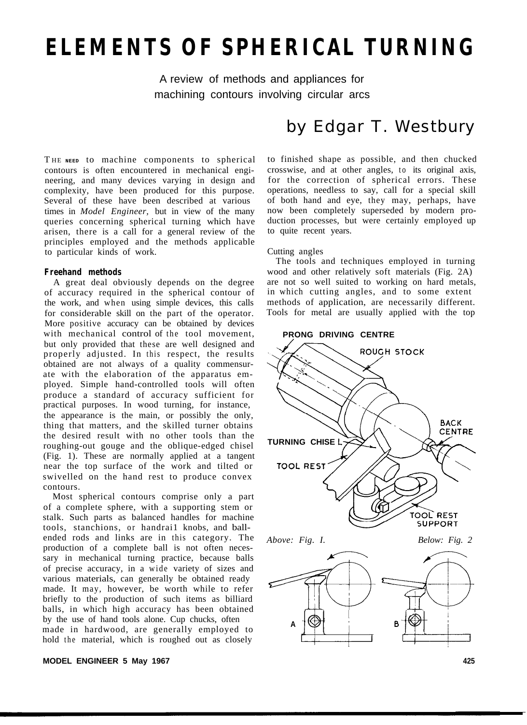# **ELEMENTS OF SPHERICAL TURNING**

A review of methods and appliances for machining contours involving circular arcs

T HE **NEED** to machine components to spherical contours is often encountered in mechanical engineering, and many devices varying in design and complexity, have been produced for this purpose. Several of these have been described at various times in *Model Engineer,* but in view of the many queries concerning spherical turning which have arisen, there is a call for a general review of the principles employed and the methods applicable to particular kinds of work.

#### **Freehand methods**

A great deal obviously depends on the degree of accuracy required in the spherical contour of the work, and when using simple devices, this calls for considerable skill on the part of the operator. More positive accuracy can be obtained by devices with mechanical control of the tool movement, but only provided that these are well designed and properly adjusted. In this respect, the results obtained are not always of a quality commensurate with the elaboration of the apparatus employed. Simple hand-controlled tools will often produce a standard of accuracy sufficient for practical purposes. In wood turning, for instance, the appearance is the main, or possibly the only, thing that matters, and the skilled turner obtains the desired result with no other tools than the roughing-out gouge and the oblique-edged chisel (Fig. 1). These are normally applied at a tangent near the top surface of the work and tilted or swivelled on the hand rest to produce convex contours.

Most spherical contours comprise only a part of a complete sphere, with a supporting stem or stalk. Such parts as balanced handles for machine tools, stanchions, or handrail knobs, and ballended rods and links are in this category. The production of a complete ball is not often necessary in mechanical turning practice, because balls of precise accuracy, in a wide variety of sizes and various materials, can generally be obtained ready made. It may, however, be worth while to refer briefly to the production of such items as billiard balls, in which high accuracy has been obtained by the use of hand tools alone. Cup chucks, often made in hardwood, are generally employed to hold the material, which is roughed out as closely

#### **MODEL ENGINEER 5 May 1967 425**

# by Edgar T. Westbury

to finished shape as possible, and then chucked crosswise, and at other angles, to its original axis, for the correction of spherical errors. These operations, needless to say, call for a special skill of both hand and eye, they may, perhaps, have now been completely superseded by modern production processes, but were certainly employed up to quite recent years.

#### Cutting angles

The tools and techniques employed in turning wood and other relatively soft materials (Fig. 2A) are not so well suited to working on hard metals, in which cutting angles, and to some extent methods of application, are necessarily different. Tools for metal are usually applied with the top

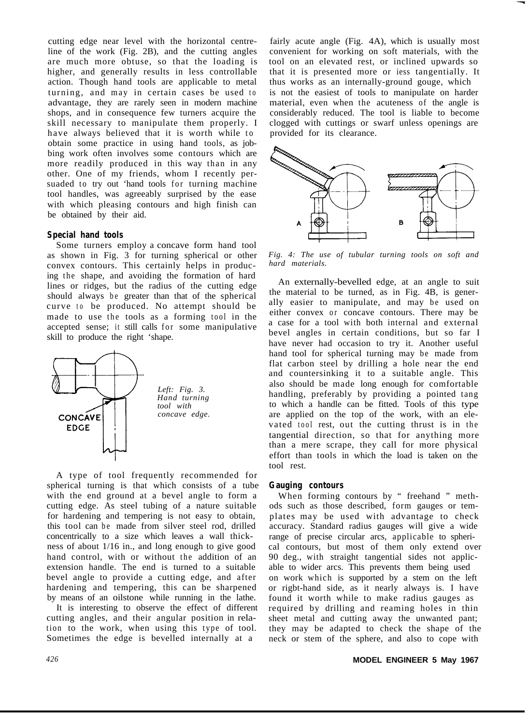cutting edge near level with the horizontal centreline of the work (Fig. 2B), and the cutting angles are much more obtuse, so that the loading is higher, and generally results in less controllable action. Though hand tools are applicable to metal turning, and may in certain cases be used to advantage, they are rarely seen in modern machine shops, and in consequence few turners acquire the skill necessary to manipulate them properly. I have always believed that it is worth while to obtain some practice in using hand tools, as jobbing work often involves some contours which are more readily produced in this way than in any other. One of my friends, whom I recently persuaded to try out 'hand tools for turning machine tool handles, was agreeably surprised by the ease with which pleasing contours and high finish can be obtained by their aid.

#### **Special hand tools**

Some turners employ a concave form hand tool as shown in Fig. 3 for turning spherical or other convex contours. This certainly helps in producing the shape, and avoiding the formation of hard lines or ridges, but the radius of the cutting edge should always be greater than that of the spherical curve to be produced. No attempt should be made to use the tools as a forming tool in the accepted sense; it still calls for some manipulative skill to produce the right 'shape.



A type of tool frequently recommended for spherical turning is that which consists of a tube with the end ground at a bevel angle to form a cutting edge. As steel tubing of a nature suitable for hardening and tempering is not easy to obtain, this tool can be made from silver steel rod, drilled concentrically to a size which leaves a wall thickness of about 1/16 in., and long enough to give good hand control, with or without the addition of an extension handle. The end is turned to a suitable bevel angle to provide a cutting edge, and after hardening and tempering, this can be sharpened by means of an oilstone while running in the lathe.

It is interesting to observe the effect of different cutting angles, and their angular position in relation to the work, when using this type of tool. Sometimes the edge is bevelled internally at a

fairly acute angle (Fig. 4A), which is usually most convenient for working on soft materials, with the tool on an elevated rest, or inclined upwards so that it is presented more or iess tangentially. It thus works as an internally-ground gouge, which is not the easiest of tools to manipulate on harder material, even when the acuteness of the angle is considerably reduced. The tool is liable to become clogged with cuttings or swarf unless openings are provided for its clearance.



*Fig. 4: The use of tubular turning tools on soft and hard materials.*

An externally-bevelled edge, at an angle to suit the material to be turned, as in Fig. 4B, is generally easier to manipulate, and may be used on either convex or concave contours. There may be a case for a tool with both internal and external bevel angles in certain conditions, but so far I have never had occasion to try it. Another useful hand tool for spherical turning may be made from flat carbon steel by drilling a hole near the end and countersinking it to a suitable angle. This also should be made long enough for comfortable handling, preferably by providing a pointed tang to which a handle can be fitted. Tools of this type are applied on the top of the work, with an elevated tool rest, out the cutting thrust is in the tangential direction, so that for anything more than a mere scrape, they call for more physical effort than tools in which the load is taken on the tool rest.

#### **Gauging contours**

When forming contours by " freehand " methods such as those described, form gauges or templates may be used with advantage to check accuracy. Standard radius gauges will give a wide range of precise circular arcs, applicable to spherical contours, but most of them only extend over 90 deg., with straight tangential sides not applicable to wider arcs. This prevents them being used on work which is supported by a stem on the left or rigbt-hand side, as it nearly always is. I have found it worth while to make radius gauges as required by drilling and reaming holes in thin sheet metal and cutting away the unwanted pant; they may be adapted to check the shape of the neck or stem of the sphere, and also to cope with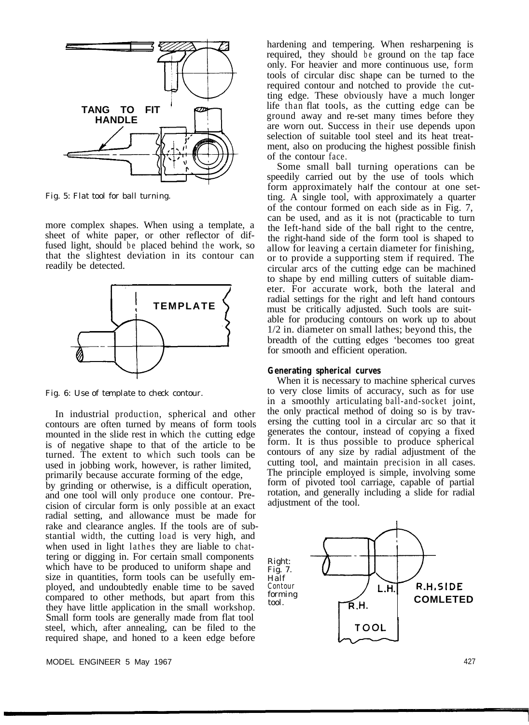

*Fig. 5: Flat tool for ball turning.*

more complex shapes. When using a template, a sheet of white paper, or other reflector of diffused light, should be placed behind the work, so that the slightest deviation in its contour can readily be detected.



*Fig. 6: Use of template to check contour.*

In industrial production, spherical and other contours are often turned by means of form tools mounted in the slide rest in which the cutting edge is of negative shape to that of the article to be turned. The extent to which such tools can be used in jobbing work, however, is rather limited, primarily because accurate forming of the edge, by grinding or otherwise, is a difficult operation, and one tool will only produce one contour. Precision of circular form is only possible at an exact radial setting, and allowance must be made for rake and clearance angles. If the tools are of substantial width, the cutting load is very high, and when used in light lathes they are liable to chattering or digging in. For certain small components which have to be produced to uniform shape and size in quantities, form tools can be usefully employed, and undoubtedly enable time to be saved compared to other methods, but apart from this they have little application in the small workshop. Small form tools are generally made from flat tool steel, which, after annealing, can be filed to the required shape, and honed to a keen edge before

hardening and tempering. When resharpening is required, they should be ground on the tap face only. For heavier and more continuous use, form tools of circular disc shape can be turned to the required contour and notched to provide the cutting edge. These obviously have a much longer life than flat tools, as the cutting edge can be ground away and re-set many times before they are worn out. Success in their use depends upon selection of suitable tool steel and its heat treatment, also on producing the highest possible finish of the contour face.

Some small ball turning operations can be speedily carried out by the use of tools which form approximately *half* the contour at one setting. A single tool, with approximately a quarter of the contour formed on each side as in Fig. 7, can be used, and as it is not (practicable to turn the Ieft-hand side of the ball right to the centre, the right-hand side of the form tool is shaped to allow for leaving a certain diameter for finishing, or to provide a supporting stem if required. The circular arcs of the cutting edge can be machined to shape by end milling cutters of suitable diameter. For accurate work, both the lateral and radial settings for the right and left hand contours must be critically adjusted. Such tools are suitable for producing contours on work up to about 1/2 in. diameter on small lathes; beyond this, the breadth of the cutting edges 'becomes too great for smooth and efficient operation.

#### **Generating spherical curves**

When it is necessary to machine spherical curves to very close limits of accuracy, such as for use in a smoothly articulating ball-and-socket joint, the only practical method of doing so is by traversing the cutting tool in a circular arc so that it generates the contour, instead of copying a fixed form. It is thus possible to produce spherical contours of any size by radial adjustment of the cutting tool, and maintain precision in all cases. The principle employed is simple, involving some form of pivoted tool carriage, capable of partial rotation, and generally including a slide for radial adjustment of the tool.